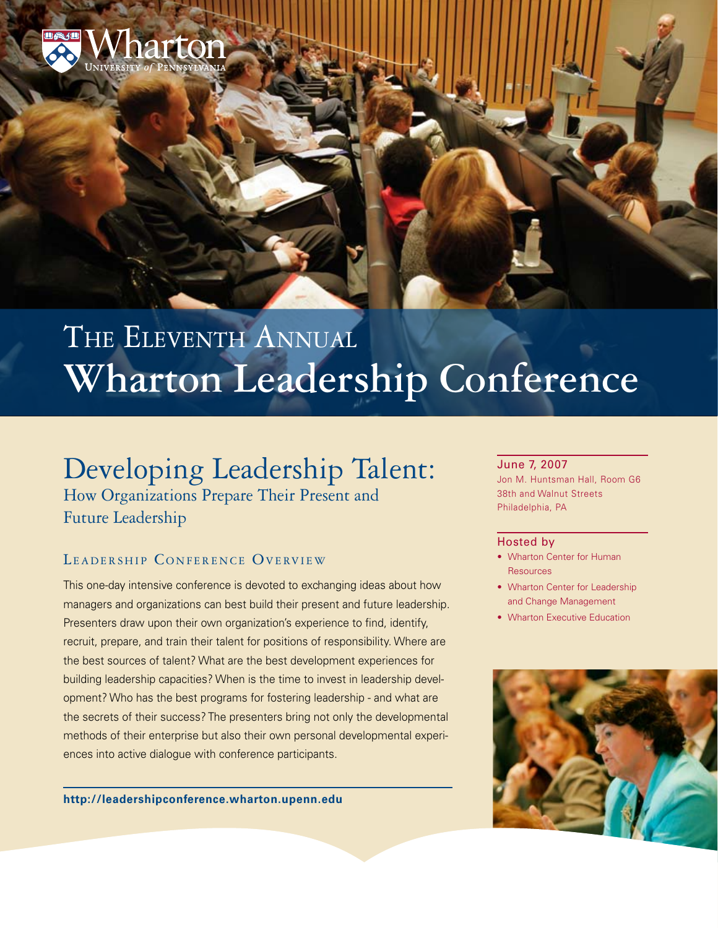

# THE ELEVENTH ANNUAL **Wharton Leadership Conference**

## Developing Leadership Talent:

How Organizations Prepare Their Present and Future Leadership

### LEADERSHIP CONFERENCE OVERVIEW

This one-day intensive conference is devoted to exchanging ideas about how managers and organizations can best build their present and future leadership. Presenters draw upon their own organization's experience to find, identify, recruit, prepare, and train their talent for positions of responsibility. Where are the best sources of talent? What are the best development experiences for building leadership capacities? When is the time to invest in leadership development? Who has the best programs for fostering leadership - and what are the secrets of their success? The presenters bring not only the developmental methods of their enterprise but also their own personal developmental experiences into active dialogue with conference participants.

**<http://leadershipconference.wharton.upenn.edu>**

#### June 7, 2007

Jon M. Huntsman Hall, Room G6 38th and Walnut Streets Philadelphia, PA

#### Hosted by

- Wharton Center for Human Resources
- Wharton Center for Leadership and Change Management
- Wharton Executive Education